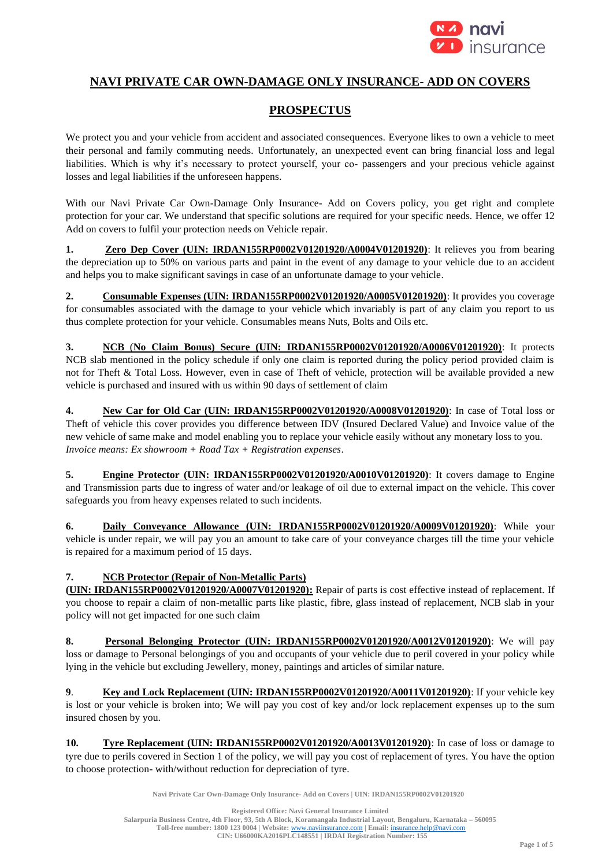

# **NAVI PRIVATE CAR OWN-DAMAGE ONLY INSURANCE- ADD ON COVERS**

# **PROSPECTUS**

We protect you and your vehicle from accident and associated consequences. Everyone likes to own a vehicle to meet their personal and family commuting needs. Unfortunately, an unexpected event can bring financial loss and legal liabilities. Which is why it's necessary to protect yourself, your co- passengers and your precious vehicle against losses and legal liabilities if the unforeseen happens.

With our Navi Private Car Own-Damage Only Insurance- Add on Covers policy, you get right and complete protection for your car. We understand that specific solutions are required for your specific needs. Hence, we offer 12 Add on covers to fulfil your protection needs on Vehicle repair.

**1. Zero Dep Cover (UIN: IRDAN155RP0002V01201920/A0004V01201920)**: It relieves you from bearing the depreciation up to 50% on various parts and paint in the event of any damage to your vehicle due to an accident and helps you to make significant savings in case of an unfortunate damage to your vehicle.

**2. Consumable Expenses (UIN: IRDAN155RP0002V01201920/A0005V01201920)**: It provides you coverage for consumables associated with the damage to your vehicle which invariably is part of any claim you report to us thus complete protection for your vehicle. Consumables means Nuts, Bolts and Oils etc.

**3. NCB** (**No Claim Bonus) Secure (UIN: IRDAN155RP0002V01201920/A0006V01201920)**: It protects NCB slab mentioned in the policy schedule if only one claim is reported during the policy period provided claim is not for Theft & Total Loss. However, even in case of Theft of vehicle, protection will be available provided a new vehicle is purchased and insured with us within 90 days of settlement of claim

**4. New Car for Old Car (UIN: IRDAN155RP0002V01201920/A0008V01201920)**: In case of Total loss or Theft of vehicle this cover provides you difference between IDV (Insured Declared Value) and Invoice value of the new vehicle of same make and model enabling you to replace your vehicle easily without any monetary loss to you. *Invoice means: Ex showroom + Road Tax + Registration expenses*.

**5. Engine Protector (UIN: IRDAN155RP0002V01201920/A0010V01201920)**: It covers damage to Engine and Transmission parts due to ingress of water and/or leakage of oil due to external impact on the vehicle. This cover safeguards you from heavy expenses related to such incidents.

**6. Daily Conveyance Allowance (UIN: IRDAN155RP0002V01201920/A0009V01201920)**: While your vehicle is under repair, we will pay you an amount to take care of your conveyance charges till the time your vehicle is repaired for a maximum period of 15 days.

# **7. NCB Protector (Repair of Non-Metallic Parts)**

**(UIN: IRDAN155RP0002V01201920/A0007V01201920):** Repair of parts is cost effective instead of replacement. If you choose to repair a claim of non-metallic parts like plastic, fibre, glass instead of replacement, NCB slab in your policy will not get impacted for one such claim

**8. Personal Belonging Protector (UIN: IRDAN155RP0002V01201920/A0012V01201920)**: We will pay loss or damage to Personal belongings of you and occupants of your vehicle due to peril covered in your policy while lying in the vehicle but excluding Jewellery, money, paintings and articles of similar nature.

**9**. **Key and Lock Replacement (UIN: IRDAN155RP0002V01201920/A0011V01201920)**: If your vehicle key is lost or your vehicle is broken into; We will pay you cost of key and/or lock replacement expenses up to the sum insured chosen by you.

**10. Tyre Replacement (UIN: IRDAN155RP0002V01201920/A0013V01201920)**: In case of loss or damage to tyre due to perils covered in Section 1 of the policy, we will pay you cost of replacement of tyres. You have the option to choose protection- with/without reduction for depreciation of tyre.

**Navi Private Car Own-Damage Only Insurance- Add on Covers | UIN: IRDAN155RP0002V01201920**

**Registered Office: Navi General Insurance Limited Salarpuria Business Centre, 4th Floor, 93, 5th A Block, Koramangala Industrial Layout, Bengaluru, Karnataka – 560095 Toll-free number: 1800 123 0004 | Website:** [www.naviinsurance.com](http://www.naviinsurance.com/) **| Email:** [insurance.help@navi.com](mailto:insurance.help@navi.com) **CIN: U66000KA2016PLC148551 | IRDAI Registration Number: 155**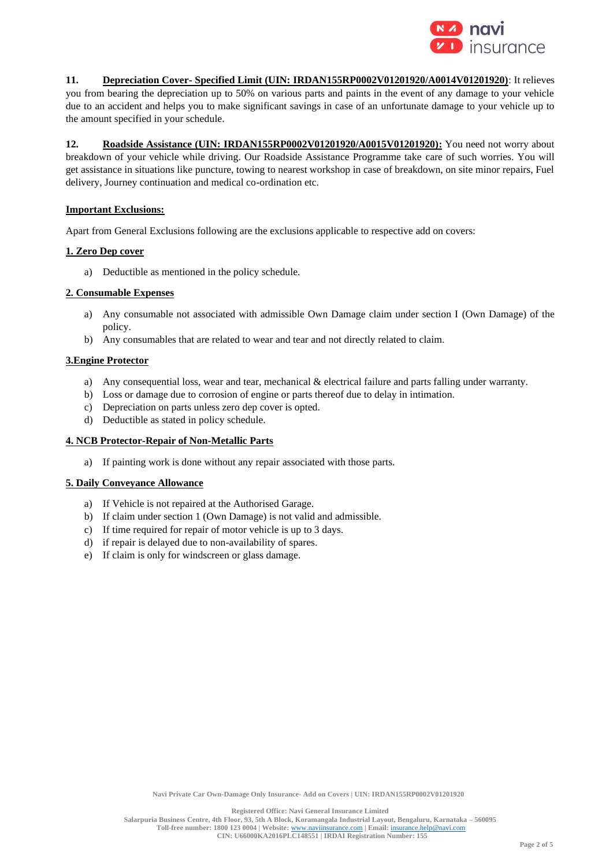

**11. Depreciation Cover- Specified Limit (UIN: IRDAN155RP0002V01201920/A0014V01201920)**: It relieves you from bearing the depreciation up to 50% on various parts and paints in the event of any damage to your vehicle due to an accident and helps you to make significant savings in case of an unfortunate damage to your vehicle up to the amount specified in your schedule.

**12. Roadside Assistance (UIN: IRDAN155RP0002V01201920/A0015V01201920):** You need not worry about breakdown of your vehicle while driving. Our Roadside Assistance Programme take care of such worries. You will get assistance in situations like puncture, towing to nearest workshop in case of breakdown, on site minor repairs, Fuel delivery, Journey continuation and medical co-ordination etc.

## **Important Exclusions:**

Apart from General Exclusions following are the exclusions applicable to respective add on covers:

## **1. Zero Dep cover**

a) Deductible as mentioned in the policy schedule.

## **2. Consumable Expenses**

- a) Any consumable not associated with admissible Own Damage claim under section I (Own Damage) of the policy.
- b) Any consumables that are related to wear and tear and not directly related to claim.

## **3.Engine Protector**

- a) Any consequential loss, wear and tear, mechanical & electrical failure and parts falling under warranty.
- b) Loss or damage due to corrosion of engine or parts thereof due to delay in intimation.
- c) Depreciation on parts unless zero dep cover is opted.
- d) Deductible as stated in policy schedule.

## **4. NCB Protector-Repair of Non-Metallic Parts**

a) If painting work is done without any repair associated with those parts.

## **5. Daily Conveyance Allowance**

- a) If Vehicle is not repaired at the Authorised Garage.
- b) If claim under section 1 (Own Damage) is not valid and admissible.
- c) If time required for repair of motor vehicle is up to 3 days.
- d) if repair is delayed due to non-availability of spares.
- e) If claim is only for windscreen or glass damage.

**Registered Office: Navi General Insurance Limited**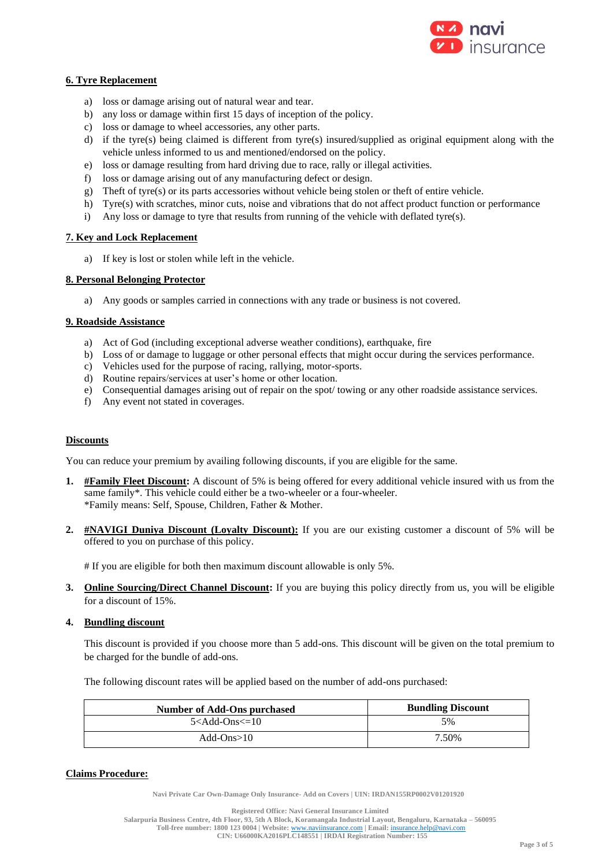

## **6. Tyre Replacement**

- a) loss or damage arising out of natural wear and tear.
- b) any loss or damage within first 15 days of inception of the policy.
- c) loss or damage to wheel accessories, any other parts.
- d) if the tyre(s) being claimed is different from tyre(s) insured/supplied as original equipment along with the vehicle unless informed to us and mentioned/endorsed on the policy.
- e) loss or damage resulting from hard driving due to race, rally or illegal activities.
- f) loss or damage arising out of any manufacturing defect or design.
- g) Theft of tyre(s) or its parts accessories without vehicle being stolen or theft of entire vehicle.
- h) Tyre(s) with scratches, minor cuts, noise and vibrations that do not affect product function or performance
- i) Any loss or damage to tyre that results from running of the vehicle with deflated tyre(s).

## **7. Key and Lock Replacement**

a) If key is lost or stolen while left in the vehicle.

## **8. Personal Belonging Protector**

a) Any goods or samples carried in connections with any trade or business is not covered.

# **9. Roadside Assistance**

- a) Act of God (including exceptional adverse weather conditions), earthquake, fire
- b) Loss of or damage to luggage or other personal effects that might occur during the services performance.
- c) Vehicles used for the purpose of racing, rallying, motor-sports.
- d) Routine repairs/services at user's home or other location.
- e) Consequential damages arising out of repair on the spot/ towing or any other roadside assistance services.
- f) Any event not stated in coverages.

# **Discounts**

You can reduce your premium by availing following discounts, if you are eligible for the same.

- **1. #Family Fleet Discount:** A discount of 5% is being offered for every additional vehicle insured with us from the same family\*. This vehicle could either be a two-wheeler or a four-wheeler. \*Family means: Self, Spouse, Children, Father & Mother.
- **2. #NAVIGI Duniya Discount (Loyalty Discount):** If you are our existing customer a discount of 5% will be offered to you on purchase of this policy.

# If you are eligible for both then maximum discount allowable is only 5%.

**3. Online Sourcing/Direct Channel Discount:** If you are buying this policy directly from us, you will be eligible for a discount of 15%.

# **4. Bundling discount**

This discount is provided if you choose more than 5 add-ons. This discount will be given on the total premium to be charged for the bundle of add-ons.

The following discount rates will be applied based on the number of add-ons purchased:

| Number of Add-Ons purchased                      | <b>Bundling Discount</b> |
|--------------------------------------------------|--------------------------|
| 5 <add-ons<=10< td=""><td>5%</td></add-ons<=10<> | 5%                       |
| Add-Ons $>10$                                    | 7.50%                    |

# **Claims Procedure:**

**Navi Private Car Own-Damage Only Insurance- Add on Covers | UIN: IRDAN155RP0002V01201920**

**Registered Office: Navi General Insurance Limited Salarpuria Business Centre, 4th Floor, 93, 5th A Block, Koramangala Industrial Layout, Bengaluru, Karnataka – 560095 Toll-free number: 1800 123 0004 | Website:** [www.naviinsurance.com](http://www.naviinsurance.com/) **| Email:** [insurance.help@navi.com](mailto:insurance.help@navi.com) **CIN: U66000KA2016PLC148551 | IRDAI Registration Number: 155**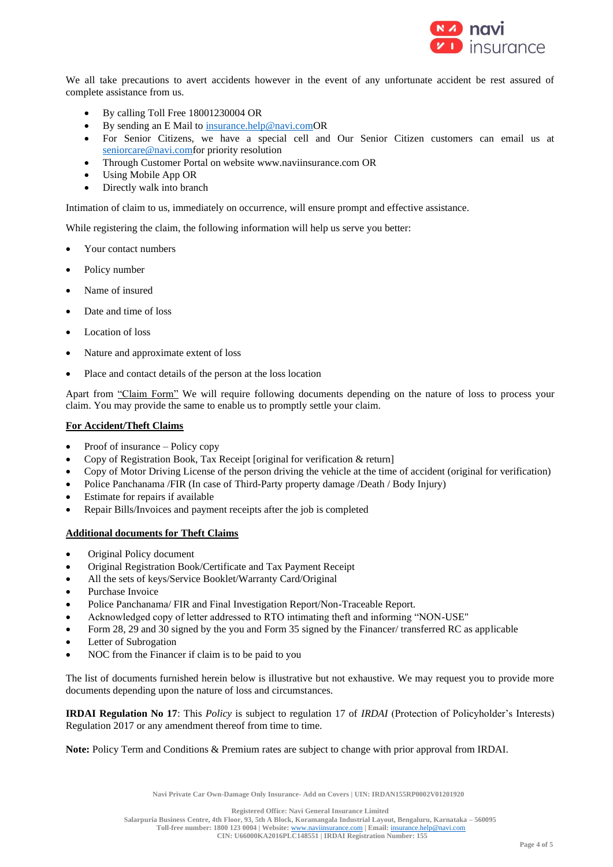

We all take precautions to avert accidents however in the event of any unfortunate accident be rest assured of complete assistance from us.

- By calling Toll Free 18001230004 OR
- By sending an E Mail to [insurance.help@navi.comO](mailto:insurance.help@navi.com)R
- For Senior Citizens, we have a special cell and Our Senior Citizen customers can email us at [seniorcare@navi.comf](mailto:seniorcare@navi.com)or priority resolution
- Through Customer Portal on website www.naviinsurance.com OR
- Using Mobile App OR
- Directly walk into branch

Intimation of claim to us, immediately on occurrence, will ensure prompt and effective assistance.

While registering the claim, the following information will help us serve you better:

- Your contact numbers
- Policy number
- Name of insured
- Date and time of loss
- Location of loss
- Nature and approximate extent of loss
- Place and contact details of the person at the loss location

Apart from "Claim Form" We will require following documents depending on the nature of loss to process your claim. You may provide the same to enable us to promptly settle your claim.

## **For Accident/Theft Claims**

- Proof of insurance Policy copy
- Copy of Registration Book, Tax Receipt [original for verification & return]
- Copy of Motor Driving License of the person driving the vehicle at the time of accident (original for verification)
- Police Panchanama /FIR (In case of Third-Party property damage /Death / Body Injury)
- Estimate for repairs if available
- Repair Bills/Invoices and payment receipts after the job is completed

## **Additional documents for Theft Claims**

- Original Policy document
- Original Registration Book/Certificate and Tax Payment Receipt
- All the sets of keys/Service Booklet/Warranty Card/Original
- Purchase Invoice
- Police Panchanama/ FIR and Final Investigation Report/Non-Traceable Report.
- Acknowledged copy of letter addressed to RTO intimating theft and informing "NON-USE"
- Form 28, 29 and 30 signed by the you and Form 35 signed by the Financer/ transferred RC as applicable
- Letter of Subrogation
- NOC from the Financer if claim is to be paid to you

The list of documents furnished herein below is illustrative but not exhaustive. We may request you to provide more documents depending upon the nature of loss and circumstances.

**IRDAI Regulation No 17**: This *Policy* is subject to regulation 17 of *IRDAI* (Protection of Policyholder's Interests) Regulation 2017 or any amendment thereof from time to time.

**Note:** Policy Term and Conditions & Premium rates are subject to change with prior approval from IRDAI.

**Navi Private Car Own-Damage Only Insurance- Add on Covers | UIN: IRDAN155RP0002V01201920**

**Registered Office: Navi General Insurance Limited**

**Salarpuria Business Centre, 4th Floor, 93, 5th A Block, Koramangala Industrial Layout, Bengaluru, Karnataka – 560095 Toll-free number: 1800 123 0004 | Website:** [www.naviinsurance.com](http://www.naviinsurance.com/) **| Email:** [insurance.help@navi.com](mailto:insurance.help@navi.com)